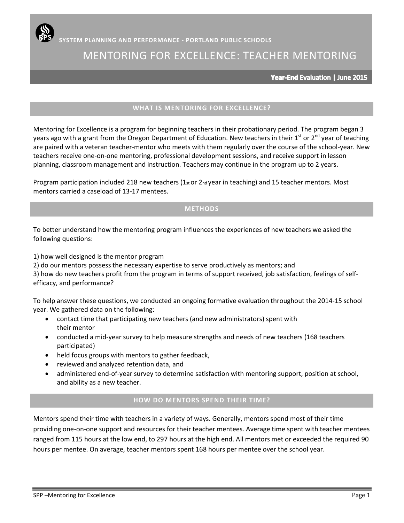# MENTORING FOR EXCELLENCE: TEACHER MENTORING

Year-End Evaluation | June 2015

# **WHAT IS MENTORING FOR EXCELLENCE?**

Mentoring for Excellence is a program for beginning teachers in their probationary period. The program began 3 years ago with a grant from the Oregon Department of Education. New teachers in their  $1^{st}$  or  $2^{nd}$  year of teaching are paired with a veteran teacher-mentor who meets with them regularly over the course of the school-year. New teachers receive one-on-one mentoring, professional development sessions, and receive support in lesson planning, classroom management and instruction. Teachers may continue in the program up to 2 years.

Program participation included 218 new teachers ( $1<sub>st</sub>$  or  $2<sub>nd</sub>$  year in teaching) and 15 teacher mentors. Most mentors carried a caseload of 13-17 mentees.

## **METHODS**

To better understand how the mentoring program influences the experiences of new teachers we asked the following questions:

1) how well designed is the mentor program

2) do our mentors possess the necessary expertise to serve productively as mentors; and

3) how do new teachers profit from the program in terms of support received, job satisfaction, feelings of self‐ efficacy, and performance?

To help answer these questions, we conducted an ongoing formative evaluation throughout the 2014-15 school year. We gathered data on the following:

- contact time that participating new teachers (and new administrators) spent with their mentor
- conducted a mid-year survey to help measure strengths and needs of new teachers (168 teachers participated)
- held focus groups with mentors to gather feedback,
- reviewed and analyzed retention data, and
- administered end‐of‐year survey to determine satisfaction with mentoring support, position at school, and ability as a new teacher.

# **HOW DO MENTORS SPEND THEIR TIME?**

Mentors spend their time with teachers in a variety of ways. Generally, mentors spend most of their time providing one-on-one support and resources for their teacher mentees. Average time spent with teacher mentees ranged from 115 hours at the low end, to 297 hours at the high end. All mentors met or exceeded the required 90 hours per mentee. On average, teacher mentors spent 168 hours per mentee over the school year.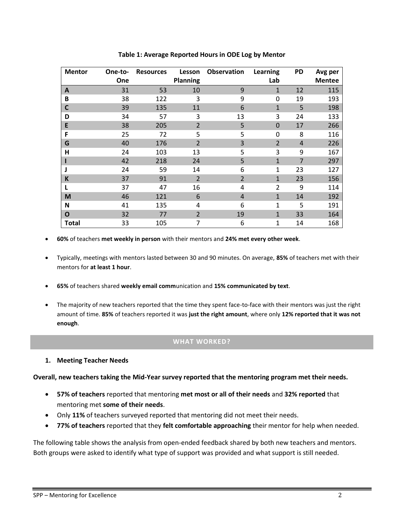| <b>Mentor</b>  | One-to- | <b>Resources</b> | Lesson          | Observation    | Learning       | PD             | Avg per       |
|----------------|---------|------------------|-----------------|----------------|----------------|----------------|---------------|
|                | One     |                  | <b>Planning</b> |                | Lab            |                | <b>Mentee</b> |
| A              | 31      | 53               | 10              | 9              | $\mathbf{1}$   | 12             | 115           |
| B              | 38      | 122              | 3               | 9              | $\mathbf 0$    | 19             | 193           |
| C              | 39      | 135              | 11              | 6              | $\mathbf{1}$   | 5              | 198           |
| D              | 34      | 57               | 3               | 13             | 3              | 24             | 133           |
| E              | 38      | 205              | $\overline{2}$  | 5              | $\mathbf 0$    | 17             | 266           |
| F              | 25      | 72               | 5               | 5              | $\mathbf 0$    | 8              | 116           |
| G              | 40      | 176              | $\overline{2}$  | 3              | $\overline{2}$ | $\overline{4}$ | 226           |
| $\overline{H}$ | 24      | 103              | 13              | 5              | 3              | 9              | 167           |
|                | 42      | 218              | 24              | 5              | $\mathbf{1}$   | $\overline{7}$ | 297           |
| J              | 24      | 59               | 14              | 6              | 1              | 23             | 127           |
| K              | 37      | 91               | $\overline{2}$  | $\overline{2}$ | $\mathbf{1}$   | 23             | 156           |
| L              | 37      | 47               | 16              | 4              | $\overline{2}$ | 9              | 114           |
| M              | 46      | 121              | 6               | 4              | $\mathbf{1}$   | 14             | 192           |
| N              | 41      | 135              | 4               | 6              | $\mathbf{1}$   | 5              | 191           |
| O              | 32      | 77               | $\overline{2}$  | 19             | $\mathbf{1}$   | 33             | 164           |
| Total          | 33      | 105              | 7               | 6              | $\mathbf 1$    | 14             | 168           |

**Table 1: Average Reported Hours in ODE Log by Mentor**

- **60%** of teachers **met weekly in person** with their mentors and **24% met every other week**.
- Typically, meetings with mentors lasted between 30 and 90 minutes. On average, **85%** of teachers met with their mentors for **at least 1 hour**.
- **65%** of teachers shared **weekly email comm**unication and **15% communicated by text**.
- The majority of new teachers reported that the time they spent face-to-face with their mentors was just the right amount of time. **85%** of teachers reported it was **just the right amount**, where only **12% reported that it was not enough**.

## **WHAT WORKED?**

**1. Meeting Teacher Needs**

**Overall, new teachers taking the Mid-Year survey reported that the mentoring program met their needs.** 

- **57% of teachers** reported that mentoring **met most or all of their needs** and **32% reported** that mentoring met **some of their needs**.
- Only **11%** of teachers surveyed reported that mentoring did not meet their needs.
- **77% of teachers** reported that they **felt comfortable approaching** their mentor for help when needed.

The following table shows the analysis from open-ended feedback shared by both new teachers and mentors. Both groups were asked to identify what type of support was provided and what support is still needed.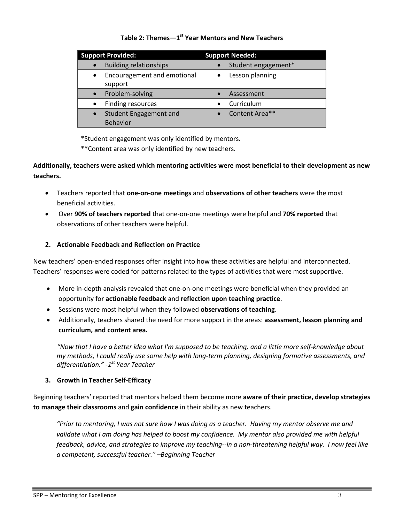# **Table 2: Themes—1 st Year Mentors and New Teachers**

| <b>Support Provided:</b>                            | <b>Support Needed:</b> |
|-----------------------------------------------------|------------------------|
| <b>Building relationships</b>                       | Student engagement*    |
| Encouragement and emotional<br>$\bullet$<br>support | Lesson planning        |
| Problem-solving                                     | Assessment             |
| Finding resources                                   | Curriculum             |
| <b>Student Engagement and</b><br><b>Behavior</b>    | Content Area**         |

\*Student engagement was only identified by mentors.

\*\*Content area was only identified by new teachers.

**Additionally, teachers were asked which mentoring activities were most beneficial to their development as new teachers.** 

- Teachers reported that **one-on-one meetings** and **observations of other teachers** were the most beneficial activities.
- Over **90% of teachers reported** that one-on-one meetings were helpful and **70% reported** that observations of other teachers were helpful.

## **2. Actionable Feedback and Reflection on Practice**

New teachers' open-ended responses offer insight into how these activities are helpful and interconnected. Teachers' responses were coded for patterns related to the types of activities that were most supportive.

- More in-depth analysis revealed that one-on-one meetings were beneficial when they provided an opportunity for **actionable feedback** and **reflection upon teaching practice**.
- Sessions were most helpful when they followed **observations of teaching**.
- Additionally, teachers shared the need for more support in the areas: **assessment, lesson planning and curriculum, and content area.**

*"Now that I have a better idea what I'm supposed to be teaching, and a little more self-knowledge about my methods, I could really use some help with long-term planning, designing formative assessments, and differentiation." -1 st Year Teacher*

## **3. Growth in Teacher Self-Efficacy**

Beginning teachers' reported that mentors helped them become more **aware of their practice, develop strategies to manage their classrooms** and **gain confidence** in their ability as new teachers.

*"Prior to mentoring, I was not sure how I was doing as a teacher. Having my mentor observe me and*  validate what I am doing has helped to boost my confidence. My mentor also provided me with helpful *feedback, advice, and strategies to improve my teaching--in a non-threatening helpful way. I now feel like a competent, successful teacher." –Beginning Teacher*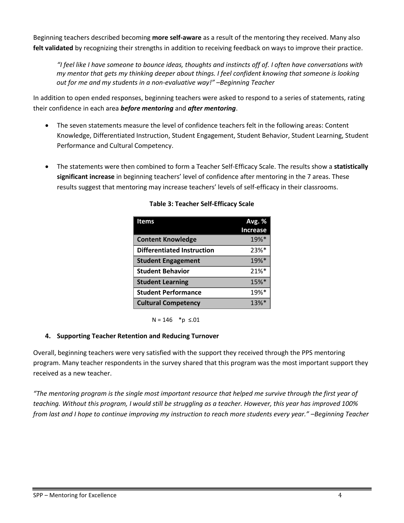Beginning teachers described becoming **more self-aware** as a result of the mentoring they received. Many also **felt validated** by recognizing their strengths in addition to receiving feedback on ways to improve their practice.

*"I feel like I have someone to bounce ideas, thoughts and instincts off of. I often have conversations with my mentor that gets my thinking deeper about things. I feel confident knowing that someone is looking out for me and my students in a non-evaluative way!" –Beginning Teacher*

In addition to open ended responses, beginning teachers were asked to respond to a series of statements, rating their confidence in each area *before mentoring* and *after mentoring*.

- The seven statements measure the level of confidence teachers felt in the following areas: Content Knowledge, Differentiated Instruction, Student Engagement, Student Behavior, Student Learning, Student Performance and Cultural Competency.
- The statements were then combined to form a Teacher Self-Efficacy Scale. The results show a **statistically significant increase** in beginning teachers' level of confidence after mentoring in the 7 areas. These results suggest that mentoring may increase teachers' levels of self-efficacy in their classrooms.

| Items                             | Avg. %              |
|-----------------------------------|---------------------|
|                                   | <b>Increase</b>     |
| <b>Content Knowledge</b>          | 19%*                |
| <b>Differentiated Instruction</b> | 23%*                |
| <b>Student Engagement</b>         | 19%*                |
| <b>Student Behavior</b>           | $21\%$ <sup>*</sup> |
| <b>Student Learning</b>           | 15%*                |
| <b>Student Performance</b>        | 19%*                |
| <b>Cultural Competency</b>        | $13%$ <sup>*</sup>  |

## **Table 3: Teacher Self-Efficacy Scale**

 $N = 146$  \*p ≤.01

# **4. Supporting Teacher Retention and Reducing Turnover**

Overall, beginning teachers were very satisfied with the support they received through the PPS mentoring program. Many teacher respondents in the survey shared that this program was the most important support they received as a new teacher.

*"The mentoring program is the single most important resource that helped me survive through the first year of teaching. Without this program, I would still be struggling as a teacher. However, this year has improved 100% from last and I hope to continue improving my instruction to reach more students every year." –Beginning Teacher*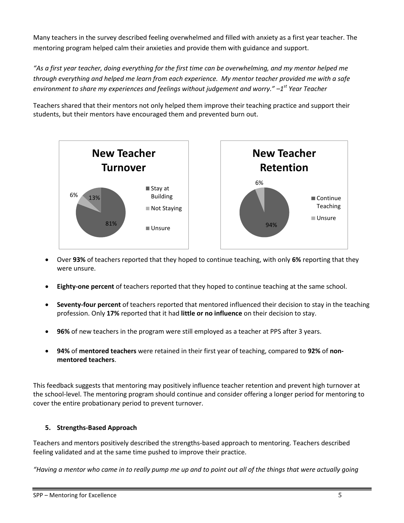Many teachers in the survey described feeling overwhelmed and filled with anxiety as a first year teacher. The mentoring program helped calm their anxieties and provide them with guidance and support.

*"As a first year teacher, doing everything for the first time can be overwhelming, and my mentor helped me through everything and helped me learn from each experience. My mentor teacher provided me with a safe environment to share my experiences and feelings without judgement and worry." –1 st Year Teacher*

Teachers shared that their mentors not only helped them improve their teaching practice and support their students, but their mentors have encouraged them and prevented burn out.



- Over **93%** of teachers reported that they hoped to continue teaching, with only **6%** reporting that they were unsure.
- **Eighty-one percent** of teachers reported that they hoped to continue teaching at the same school.
- **Seventy-four percent** of teachers reported that mentored influenced their decision to stay in the teaching profession. Only **17%** reported that it had **little or no influence** on their decision to stay.
- **96%** of new teachers in the program were still employed as a teacher at PPS after 3 years.
- **94%** of **mentored teachers** were retained in their first year of teaching, compared to **92%** of **nonmentored teachers**.

This feedback suggests that mentoring may positively influence teacher retention and prevent high turnover at the school-level. The mentoring program should continue and consider offering a longer period for mentoring to cover the entire probationary period to prevent turnover.

## **5. Strengths-Based Approach**

Teachers and mentors positively described the strengths-based approach to mentoring. Teachers described feeling validated and at the same time pushed to improve their practice.

*"Having a mentor who came in to really pump me up and to point out all of the things that were actually going*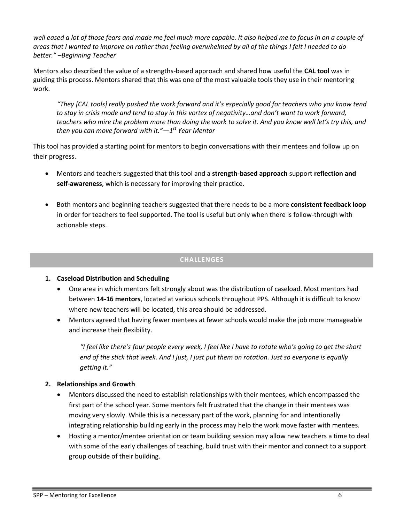*well eased a lot of those fears and made me feel much more capable. It also helped me to focus in on a couple of areas that I wanted to improve on rather than feeling overwhelmed by all of the things I felt I needed to do better." –Beginning Teacher* 

Mentors also described the value of a strengths-based approach and shared how useful the **CAL tool** was in guiding this process. Mentors shared that this was one of the most valuable tools they use in their mentoring work.

*"They [CAL tools] really pushed the work forward and it's especially good for teachers who you know tend to stay in crisis mode and tend to stay in this vortex of negativity…and don't want to work forward, teachers who mire the problem more than doing the work to solve it. And you know well let's try this, and then you can move forward with it."—1 st Year Mentor*

This tool has provided a starting point for mentors to begin conversations with their mentees and follow up on their progress.

- Mentors and teachers suggested that this tool and a **strength-based approach** support **reflection and self-awareness**, which is necessary for improving their practice.
- Both mentors and beginning teachers suggested that there needs to be a more **consistent feedback loop** in order for teachers to feel supported. The tool is useful but only when there is follow-through with actionable steps.

## **CHALLENGES**

- **1. Caseload Distribution and Scheduling**
	- One area in which mentors felt strongly about was the distribution of caseload. Most mentors had between **14-16 mentors**, located at various schools throughout PPS. Although it is difficult to know where new teachers will be located, this area should be addressed.
	- Mentors agreed that having fewer mentees at fewer schools would make the job more manageable and increase their flexibility.

*"I feel like there's four people every week, I feel like I have to rotate who's going to get the short end of the stick that week. And I just, I just put them on rotation. Just so everyone is equally getting it."* 

## **2. Relationships and Growth**

- Mentors discussed the need to establish relationships with their mentees, which encompassed the first part of the school year. Some mentors felt frustrated that the change in their mentees was moving very slowly. While this is a necessary part of the work, planning for and intentionally integrating relationship building early in the process may help the work move faster with mentees.
- Hosting a mentor/mentee orientation or team building session may allow new teachers a time to deal with some of the early challenges of teaching, build trust with their mentor and connect to a support group outside of their building.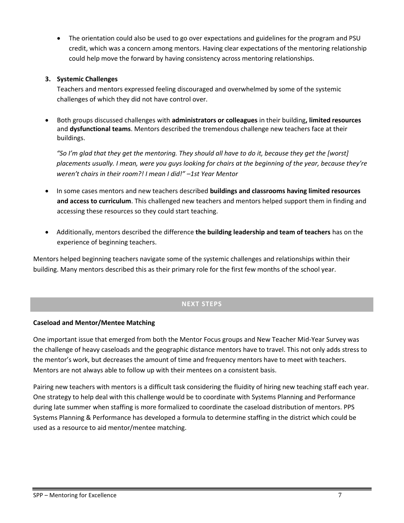The orientation could also be used to go over expectations and guidelines for the program and PSU credit, which was a concern among mentors. Having clear expectations of the mentoring relationship could help move the forward by having consistency across mentoring relationships.

### **3. Systemic Challenges**

Teachers and mentors expressed feeling discouraged and overwhelmed by some of the systemic challenges of which they did not have control over.

 Both groups discussed challenges with **administrators or colleagues** in their building**, limited resources** and **dysfunctional teams**. Mentors described the tremendous challenge new teachers face at their buildings.

"So I'm glad that they get the mentoring. They should all have to do it, because they get the [worst] *placements usually. I mean, were you guys looking for chairs at the beginning of the year, because they're weren't chairs in their room?! I mean I did!" –1st Year Mentor*

- In some cases mentors and new teachers described **buildings and classrooms having limited resources and access to curriculum**. This challenged new teachers and mentors helped support them in finding and accessing these resources so they could start teaching.
- Additionally, mentors described the difference **the building leadership and team of teachers** has on the experience of beginning teachers.

Mentors helped beginning teachers navigate some of the systemic challenges and relationships within their building. Many mentors described this as their primary role for the first few months of the school year.

# **NEXT STEPS**

## **Caseload and Mentor/Mentee Matching**

One important issue that emerged from both the Mentor Focus groups and New Teacher Mid-Year Survey was the challenge of heavy caseloads and the geographic distance mentors have to travel. This not only adds stress to the mentor's work, but decreases the amount of time and frequency mentors have to meet with teachers. Mentors are not always able to follow up with their mentees on a consistent basis.

Pairing new teachers with mentors is a difficult task considering the fluidity of hiring new teaching staff each year. One strategy to help deal with this challenge would be to coordinate with Systems Planning and Performance during late summer when staffing is more formalized to coordinate the caseload distribution of mentors. PPS Systems Planning & Performance has developed a formula to determine staffing in the district which could be used as a resource to aid mentor/mentee matching.